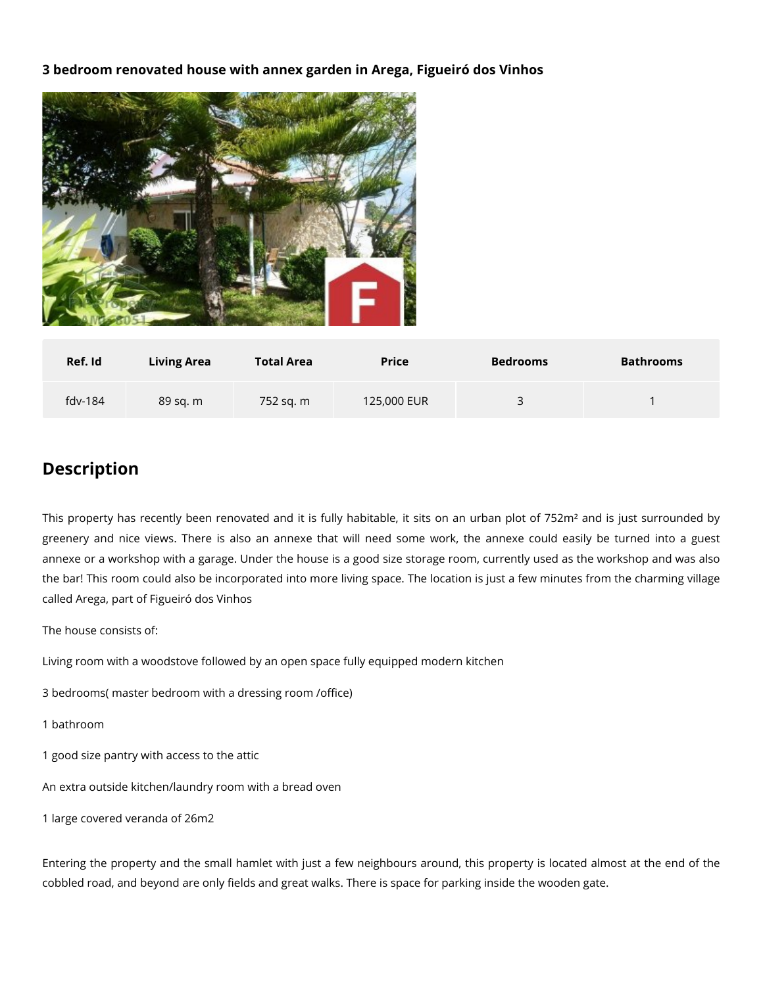## **3 bedroom renovated house with annex garden in Arega, Figueiró dos Vinhos**



| Ref. Id   | <b>Living Area</b> | <b>Total Area</b> | <b>Price</b> | <b>Bedrooms</b> | <b>Bathrooms</b> |
|-----------|--------------------|-------------------|--------------|-----------------|------------------|
| $fdv-184$ | 89 sq. m           | 752 sg. m         | 125,000 EUR  |                 |                  |

## **Description**

This property has recently been renovated and it is fully habitable, it sits on an urban plot of 752m<sup>2</sup> and is just surrounded by greenery and nice views. There is also an annexe that will need some work, the annexe could easily be turned into a guest annexe or a workshop with a garage. Under the house is a good size storage room, currently used as the workshop and was also the bar! This room could also be incorporated into more living space. The location is just a few minutes from the charming village called Arega, part of Figueiró dos Vinhos

The house consists of:

Living room with a woodstove followed by an open space fully equipped modern kitchen

3 bedrooms( master bedroom with a dressing room /office)

- 1 bathroom
- 1 good size pantry with access to the attic

An extra outside kitchen/laundry room with a bread oven

1 large covered veranda of 26m2

Entering the property and the small hamlet with just a few neighbours around, this property is located almost at the end of the cobbled road, and beyond are only fields and great walks. There is space for parking inside the wooden gate.